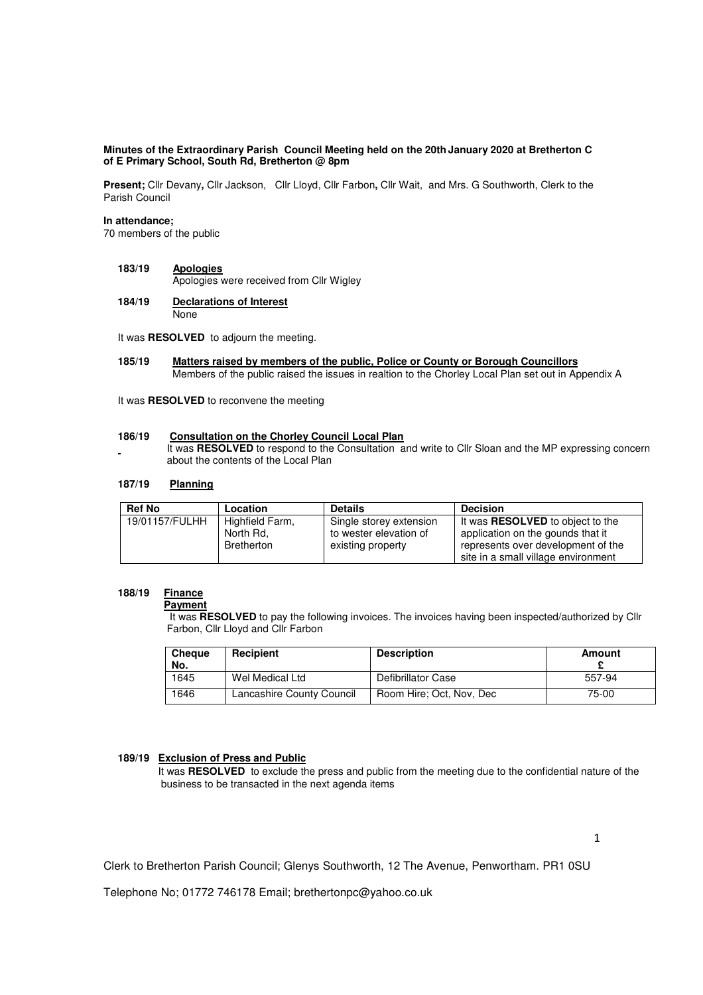## **Minutes of the Extraordinary Parish Council Meeting held on the 20th January 2020 at Bretherton C of E Primary School, South Rd, Bretherton @ 8pm**

**Present;** Cllr Devany**,** Cllr Jackson, Cllr Lloyd, Cllr Farbon**,** Cllr Wait, and Mrs. G Southworth, Clerk to the Parish Council

#### **In attendance;**

70 members of the public

- **183/19 Apologies** Apologies were received from Cllr Wigley
- **184/19 Declarations of Interest** None

It was **RESOLVED** to adjourn the meeting.

**185/19 Matters raised by members of the public, Police or County or Borough Councillors**  Members of the public raised the issues in realtion to the Chorley Local Plan set out in Appendix A

It was **RESOLVED** to reconvene the meeting

#### **186/19 Consultation on the Chorley Council Local Plan**

 It was **RESOLVED** to respond to the Consultation and write to Cllr Sloan and the MP expressing concern about the contents of the Local Plan

# **187/19 Planning**

| <b>Ref No</b>  | Location          | <b>Details</b>          | <b>Decision</b>                         |  |
|----------------|-------------------|-------------------------|-----------------------------------------|--|
| 19/01157/FULHH | Highfield Farm,   | Single storey extension | It was <b>RESOLVED</b> to object to the |  |
|                | North Rd.         | to wester elevation of  | application on the gounds that it       |  |
|                | <b>Bretherton</b> | existing property       | represents over development of the      |  |
|                |                   |                         | site in a small village environment     |  |

## **188/19 Finance**

 **Payment** 

 It was **RESOLVED** to pay the following invoices. The invoices having been inspected/authorized by Cllr Farbon, Cllr Lloyd and Cllr Farbon

| <b>Cheque</b><br>No. | <b>Recipient</b>          | <b>Description</b>       | Amount |
|----------------------|---------------------------|--------------------------|--------|
| 1645                 | Wel Medical Ltd           | Defibrillator Case       | 557-94 |
| 1646                 | Lancashire County Council | Room Hire; Oct, Nov, Dec | 75-00  |

## **189/19 Exclusion of Press and Public**

 It was **RESOLVED** to exclude the press and public from the meeting due to the confidential nature of the business to be transacted in the next agenda items

Clerk to Bretherton Parish Council; Glenys Southworth, 12 The Avenue, Penwortham. PR1 0SU

Telephone No; 01772 746178 Email; brethertonpc@yahoo.co.uk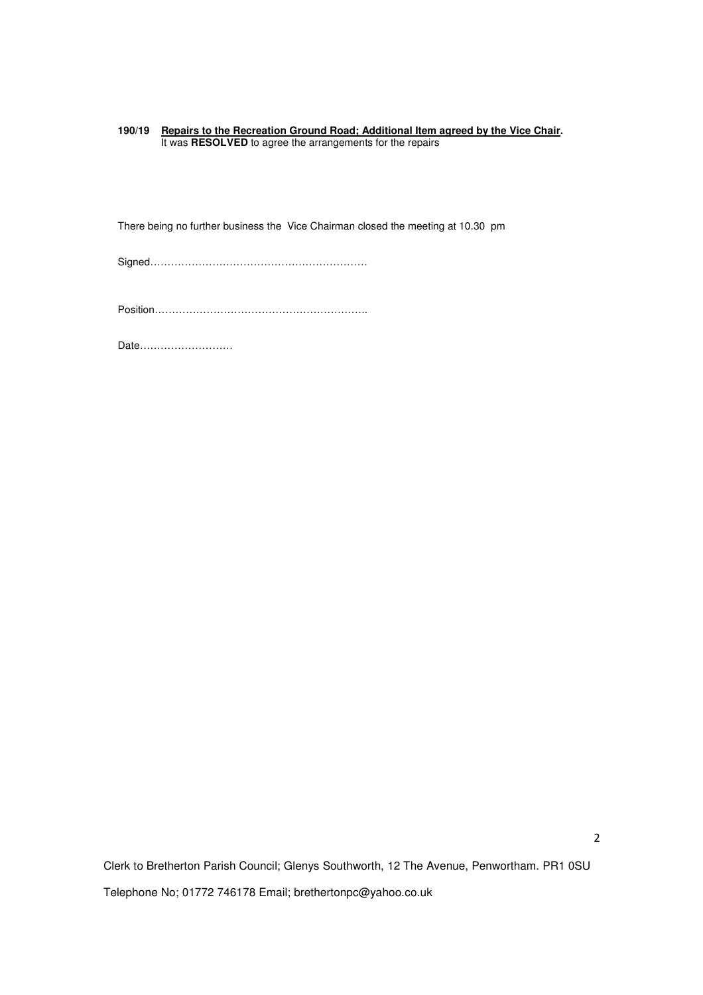**190/19 Repairs to the Recreation Ground Road; Additional Item agreed by the Vice Chair.** It was **RESOLVED** to agree the arrangements for the repairs

There being no further business the Vice Chairman closed the meeting at 10.30 pm

Signed………………………………………………………

Position……………………………………………………..

Date………………………

Clerk to Bretherton Parish Council; Glenys Southworth, 12 The Avenue, Penwortham. PR1 0SU Telephone No; 01772 746178 Email; brethertonpc@yahoo.co.uk